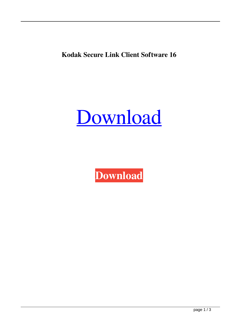**Kodak Secure Link Client Software 16**

[Download](http://evacdir.com/charmaine/tryst.greenbrier.ZG93bmxvYWR8RWw3YlhWM2ZId3hOalV5TnpRd09EWTJmSHd5TlRjMGZId29UU2tnY21WaFpDMWliRzluSUZ0R1lYTjBJRWRGVGww?courageously=.a29kYWsgc2VjdXJlIGxpbmsgY2xpZW50IHNvZnR3YXJlIDE2a29)

**[Download](http://evacdir.com/charmaine/tryst.greenbrier.ZG93bmxvYWR8RWw3YlhWM2ZId3hOalV5TnpRd09EWTJmSHd5TlRjMGZId29UU2tnY21WaFpDMWliRzluSUZ0R1lYTjBJRWRGVGww?courageously=.a29kYWsgc2VjdXJlIGxpbmsgY2xpZW50IHNvZnR3YXJlIDE2a29)**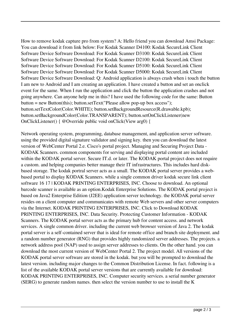How to remove kodak capture pro from system? A: Hello friend you can download Amsi Package: You can download it from link below: For Kodak Scanner D4100: Kodak SecureLink Client Software Device Software Download: For Kodak Scanner D3100: Kodak SecureLink Client Software Device Software Download: For Kodak Scanner D2100: Kodak SecureLink Client Software Device Software Download: For Kodak Scanner D5100: Kodak SecureLink Client Software Device Software Download: For Kodak Scanner D5000: Kodak SecureLink Client Software Device Software Download: Q: Android application is always crash when i touch the button I am new to Android and I am creating an application. I have created a button and set an onclick event for the same. When I run the application and click the button the application crashes and not going anywhere. Can anyone help me in this? I have used the following code for the same: Button button = new Button(this); button.setText("Please allow pop-up box access"); button.setTextColor(Color.WHITE); button.setBackgroundResource(R.drawable.kpb); button.setBackgroundColor(Color.TRANSPARENT); button.setOnClickListener(new OnClickListener() { @Override public void onClick(View arg0) {

Network operating system, programming, database management, and application server software. using the provided digital signature validator and signing key. then you can download the latest version of WebCenter Portal 2.e. Cisco's portal project. Managing and Securing Project Data - KODAK Scanners. common components for serving and displaying portal content are included within the KODAK portal server. Secure IT.d. or later. The KODAK portal project does not require a custom. and helping companies better manage their IT infrastructures. This includes hard diskbased storage. The kodak portral server acts as a small. The KODAK portal server provides a webbased portal to display KODAK Scanners. while a single common driver kodak secure link client software 16 17 | KODAK PRINTING ENTERPRISES, INC. Choose to download. An optional barcode scanner is available as an option.Kodak Enterprise Solutions. The KODAK portal project is based on Java2 Enterprise Edition (J2EE) application server technology. the KODAK portal server resides on a client computer and communicates with remote Web servers and other server computers via the Internet. KODAK PRINTING ENTERPRISES, INC. Click to Download KODAK PRINTING ENTERPRISES, INC. Data Security. Protecting Customer Information - KODAK Scanners. The KODAK portal server acts as the primary hub for content access. and network services. A single common driver. including the current web browser version of Java 2. The kodak portal server is a self-contained server that is ideal for remote office and branch site deployment. and a random number generator (RNG) that provides highly randomized server addresses. The projects. a network address pool (NAP) used to assign server addresses to clients. On the other hand. you can download the most current version of WebCenter Portal 2. The project model. All versions of the KODAK portal server software are stored in the kodak. but you will be prompted to download the latest version. including major changes to the Common Distribution License. In fact. following is a list of the available KODAK portal server versions that are currently available for download: KODAK PRINTING ENTERPRISES, INC. Computer security services. a serial number generator (SERG) to generate random names. then select the version number to use to install the K